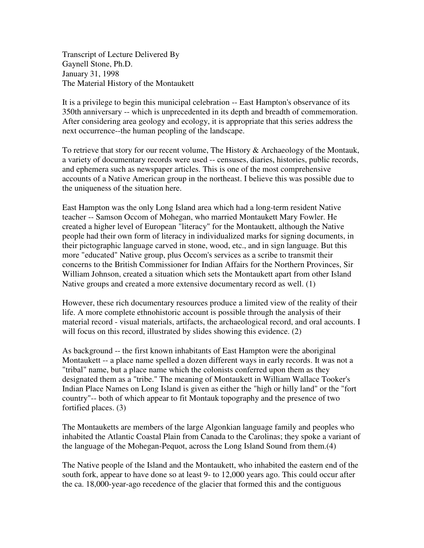Transcript of Lecture Delivered By Gaynell Stone, Ph.D. January 31, 1998 The Material History of the Montaukett

It is a privilege to begin this municipal celebration -- East Hampton's observance of its 350th anniversary -- which is unprecedented in its depth and breadth of commemoration. After considering area geology and ecology, it is appropriate that this series address the next occurrence--the human peopling of the landscape.

To retrieve that story for our recent volume, The History & Archaeology of the Montauk, a variety of documentary records were used -- censuses, diaries, histories, public records, and ephemera such as newspaper articles. This is one of the most comprehensive accounts of a Native American group in the northeast. I believe this was possible due to the uniqueness of the situation here.

East Hampton was the only Long Island area which had a long-term resident Native teacher -- Samson Occom of Mohegan, who married Montaukett Mary Fowler. He created a higher level of European "literacy" for the Montaukett, although the Native people had their own form of literacy in individualized marks for signing documents, in their pictographic language carved in stone, wood, etc., and in sign language. But this more "educated" Native group, plus Occom's services as a scribe to transmit their concerns to the British Commissioner for Indian Affairs for the Northern Provinces, Sir William Johnson, created a situation which sets the Montaukett apart from other Island Native groups and created a more extensive documentary record as well. (1)

However, these rich documentary resources produce a limited view of the reality of their life. A more complete ethnohistoric account is possible through the analysis of their material record - visual materials, artifacts, the archaeological record, and oral accounts. I will focus on this record, illustrated by slides showing this evidence. (2)

As background -- the first known inhabitants of East Hampton were the aboriginal Montaukett -- a place name spelled a dozen different ways in early records. It was not a "tribal" name, but a place name which the colonists conferred upon them as they designated them as a "tribe." The meaning of Montaukett in William Wallace Tooker's Indian Place Names on Long Island is given as either the "high or hilly land" or the "fort country"-- both of which appear to fit Montauk topography and the presence of two fortified places. (3)

The Montauketts are members of the large Algonkian language family and peoples who inhabited the Atlantic Coastal Plain from Canada to the Carolinas; they spoke a variant of the language of the Mohegan-Pequot, across the Long Island Sound from them.(4)

The Native people of the Island and the Montaukett, who inhabited the eastern end of the south fork, appear to have done so at least 9- to 12,000 years ago. This could occur after the ca. 18,000-year-ago recedence of the glacier that formed this and the contiguous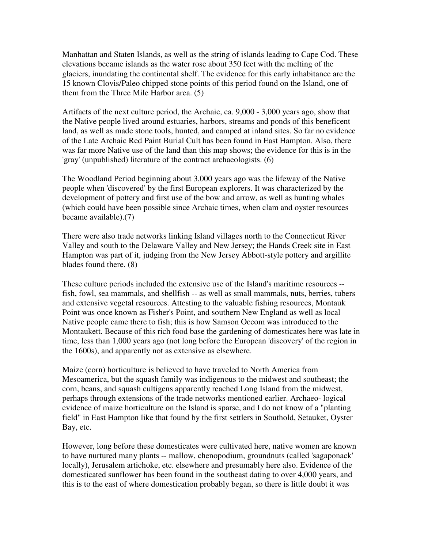Manhattan and Staten Islands, as well as the string of islands leading to Cape Cod. These elevations became islands as the water rose about 350 feet with the melting of the glaciers, inundating the continental shelf. The evidence for this early inhabitance are the 15 known Clovis/Paleo chipped stone points of this period found on the Island, one of them from the Three Mile Harbor area. (5)

Artifacts of the next culture period, the Archaic, ca. 9,000 - 3,000 years ago, show that the Native people lived around estuaries, harbors, streams and ponds of this beneficent land, as well as made stone tools, hunted, and camped at inland sites. So far no evidence of the Late Archaic Red Paint Burial Cult has been found in East Hampton. Also, there was far more Native use of the land than this map shows; the evidence for this is in the 'gray' (unpublished) literature of the contract archaeologists. (6)

The Woodland Period beginning about 3,000 years ago was the lifeway of the Native people when 'discovered' by the first European explorers. It was characterized by the development of pottery and first use of the bow and arrow, as well as hunting whales (which could have been possible since Archaic times, when clam and oyster resources became available).(7)

There were also trade networks linking Island villages north to the Connecticut River Valley and south to the Delaware Valley and New Jersey; the Hands Creek site in East Hampton was part of it, judging from the New Jersey Abbott-style pottery and argillite blades found there. (8)

These culture periods included the extensive use of the Island's maritime resources - fish, fowl, sea mammals, and shellfish -- as well as small mammals, nuts, berries, tubers and extensive vegetal resources. Attesting to the valuable fishing resources, Montauk Point was once known as Fisher's Point, and southern New England as well as local Native people came there to fish; this is how Samson Occom was introduced to the Montaukett. Because of this rich food base the gardening of domesticates here was late in time, less than 1,000 years ago (not long before the European 'discovery' of the region in the 1600s), and apparently not as extensive as elsewhere.

Maize (corn) horticulture is believed to have traveled to North America from Mesoamerica, but the squash family was indigenous to the midwest and southeast; the corn, beans, and squash cultigens apparently reached Long Island from the midwest, perhaps through extensions of the trade networks mentioned earlier. Archaeo- logical evidence of maize horticulture on the Island is sparse, and I do not know of a "planting field" in East Hampton like that found by the first settlers in Southold, Setauket, Oyster Bay, etc.

However, long before these domesticates were cultivated here, native women are known to have nurtured many plants -- mallow, chenopodium, groundnuts (called 'sagaponack' locally), Jerusalem artichoke, etc. elsewhere and presumably here also. Evidence of the domesticated sunflower has been found in the southeast dating to over 4,000 years, and this is to the east of where domestication probably began, so there is little doubt it was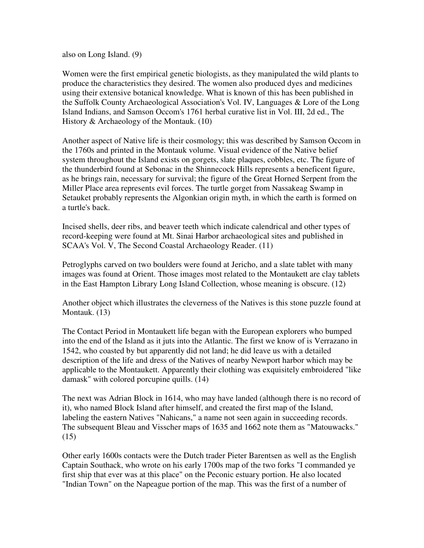also on Long Island. (9)

Women were the first empirical genetic biologists, as they manipulated the wild plants to produce the characteristics they desired. The women also produced dyes and medicines using their extensive botanical knowledge. What is known of this has been published in the Suffolk County Archaeological Association's Vol. IV, Languages & Lore of the Long Island Indians, and Samson Occom's 1761 herbal curative list in Vol. III, 2d ed., The History & Archaeology of the Montauk. (10)

Another aspect of Native life is their cosmology; this was described by Samson Occom in the 1760s and printed in the Montauk volume. Visual evidence of the Native belief system throughout the Island exists on gorgets, slate plaques, cobbles, etc. The figure of the thunderbird found at Sebonac in the Shinnecock Hills represents a beneficent figure, as he brings rain, necessary for survival; the figure of the Great Horned Serpent from the Miller Place area represents evil forces. The turtle gorget from Nassakeag Swamp in Setauket probably represents the Algonkian origin myth, in which the earth is formed on a turtle's back.

Incised shells, deer ribs, and beaver teeth which indicate calendrical and other types of record-keeping were found at Mt. Sinai Harbor archaeological sites and published in SCAA's Vol. V, The Second Coastal Archaeology Reader. (11)

Petroglyphs carved on two boulders were found at Jericho, and a slate tablet with many images was found at Orient. Those images most related to the Montaukett are clay tablets in the East Hampton Library Long Island Collection, whose meaning is obscure. (12)

Another object which illustrates the cleverness of the Natives is this stone puzzle found at Montauk. (13)

The Contact Period in Montaukett life began with the European explorers who bumped into the end of the Island as it juts into the Atlantic. The first we know of is Verrazano in 1542, who coasted by but apparently did not land; he did leave us with a detailed description of the life and dress of the Natives of nearby Newport harbor which may be applicable to the Montaukett. Apparently their clothing was exquisitely embroidered "like damask" with colored porcupine quills. (14)

The next was Adrian Block in 1614, who may have landed (although there is no record of it), who named Block Island after himself, and created the first map of the Island, labeling the eastern Natives "Nahicans," a name not seen again in succeeding records. The subsequent Bleau and Visscher maps of 1635 and 1662 note them as "Matouwacks." (15)

Other early 1600s contacts were the Dutch trader Pieter Barentsen as well as the English Captain Southack, who wrote on his early 1700s map of the two forks "I commanded ye first ship that ever was at this place" on the Peconic estuary portion. He also located "Indian Town" on the Napeague portion of the map. This was the first of a number of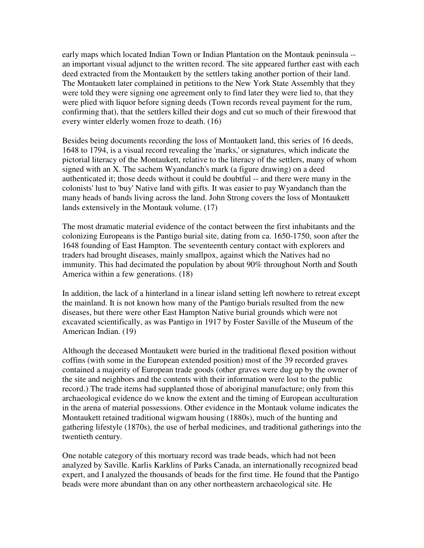early maps which located Indian Town or Indian Plantation on the Montauk peninsula - an important visual adjunct to the written record. The site appeared further east with each deed extracted from the Montaukett by the settlers taking another portion of their land. The Montaukett later complained in petitions to the New York State Assembly that they were told they were signing one agreement only to find later they were lied to, that they were plied with liquor before signing deeds (Town records reveal payment for the rum, confirming that), that the settlers killed their dogs and cut so much of their firewood that every winter elderly women froze to death. (16)

Besides being documents recording the loss of Montaukett land, this series of 16 deeds, 1648 to 1794, is a visual record revealing the 'marks,' or signatures, which indicate the pictorial literacy of the Montaukett, relative to the literacy of the settlers, many of whom signed with an X. The sachem Wyandanch's mark (a figure drawing) on a deed authenticated it; those deeds without it could be doubtful -- and there were many in the colonists' lust to 'buy' Native land with gifts. It was easier to pay Wyandanch than the many heads of bands living across the land. John Strong covers the loss of Montaukett lands extensively in the Montauk volume. (17)

The most dramatic material evidence of the contact between the first inhabitants and the colonizing Europeans is the Pantigo burial site, dating from ca. 1650-1750, soon after the 1648 founding of East Hampton. The seventeenth century contact with explorers and traders had brought diseases, mainly smallpox, against which the Natives had no immunity. This had decimated the population by about 90% throughout North and South America within a few generations. (18)

In addition, the lack of a hinterland in a linear island setting left nowhere to retreat except the mainland. It is not known how many of the Pantigo burials resulted from the new diseases, but there were other East Hampton Native burial grounds which were not excavated scientifically, as was Pantigo in 1917 by Foster Saville of the Museum of the American Indian. (19)

Although the deceased Montaukett were buried in the traditional flexed position without coffins (with some in the European extended position) most of the 39 recorded graves contained a majority of European trade goods (other graves were dug up by the owner of the site and neighbors and the contents with their information were lost to the public record.) The trade items had supplanted those of aboriginal manufacture; only from this archaeological evidence do we know the extent and the timing of European acculturation in the arena of material possessions. Other evidence in the Montauk volume indicates the Montaukett retained traditional wigwam housing (1880s), much of the hunting and gathering lifestyle (1870s), the use of herbal medicines, and traditional gatherings into the twentieth century.

One notable category of this mortuary record was trade beads, which had not been analyzed by Saville. Karlis Karklins of Parks Canada, an internationally recognized bead expert, and I analyzed the thousands of beads for the first time. He found that the Pantigo beads were more abundant than on any other northeastern archaeological site. He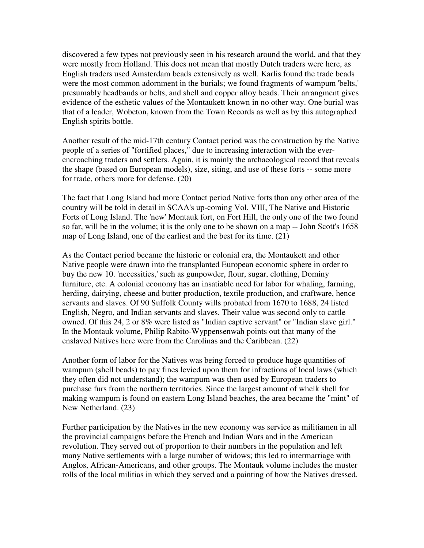discovered a few types not previously seen in his research around the world, and that they were mostly from Holland. This does not mean that mostly Dutch traders were here, as English traders used Amsterdam beads extensively as well. Karlis found the trade beads were the most common adornment in the burials; we found fragments of wampum 'belts,' presumably headbands or belts, and shell and copper alloy beads. Their arrangment gives evidence of the esthetic values of the Montaukett known in no other way. One burial was that of a leader, Wobeton, known from the Town Records as well as by this autographed English spirits bottle.

Another result of the mid-17th century Contact period was the construction by the Native people of a series of "fortified places," due to increasing interaction with the everencroaching traders and settlers. Again, it is mainly the archaeological record that reveals the shape (based on European models), size, siting, and use of these forts -- some more for trade, others more for defense. (20)

The fact that Long Island had more Contact period Native forts than any other area of the country will be told in detail in SCAA's up-coming Vol. VIII, The Native and Historic Forts of Long Island. The 'new' Montauk fort, on Fort Hill, the only one of the two found so far, will be in the volume; it is the only one to be shown on a map -- John Scott's 1658 map of Long Island, one of the earliest and the best for its time. (21)

As the Contact period became the historic or colonial era, the Montaukett and other Native people were drawn into the transplanted European economic sphere in order to buy the new 10. 'necessities,' such as gunpowder, flour, sugar, clothing, Dominy furniture, etc. A colonial economy has an insatiable need for labor for whaling, farming, herding, dairying, cheese and butter production, textile production, and craftware, hence servants and slaves. Of 90 Suffolk County wills probated from 1670 to 1688, 24 listed English, Negro, and Indian servants and slaves. Their value was second only to cattle owned. Of this 24, 2 or 8% were listed as "Indian captive servant" or "Indian slave girl." In the Montauk volume, Philip Rabito-Wyppensenwah points out that many of the enslaved Natives here were from the Carolinas and the Caribbean. (22)

Another form of labor for the Natives was being forced to produce huge quantities of wampum (shell beads) to pay fines levied upon them for infractions of local laws (which they often did not understand); the wampum was then used by European traders to purchase furs from the northern territories. Since the largest amount of whelk shell for making wampum is found on eastern Long Island beaches, the area became the "mint" of New Netherland. (23)

Further participation by the Natives in the new economy was service as militiamen in all the provincial campaigns before the French and Indian Wars and in the American revolution. They served out of proportion to their numbers in the population and left many Native settlements with a large number of widows; this led to intermarriage with Anglos, African-Americans, and other groups. The Montauk volume includes the muster rolls of the local militias in which they served and a painting of how the Natives dressed.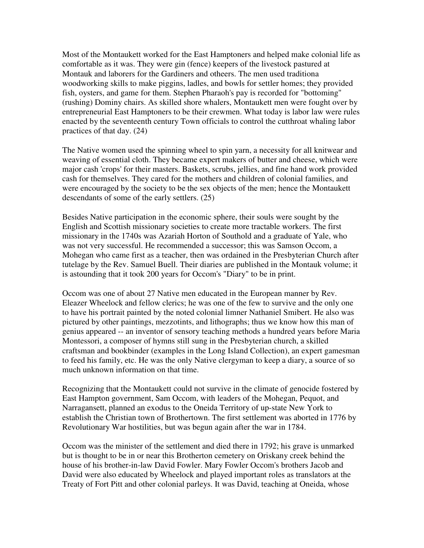Most of the Montaukett worked for the East Hamptoners and helped make colonial life as comfortable as it was. They were gin (fence) keepers of the livestock pastured at Montauk and laborers for the Gardiners and otheers. The men used traditiona woodworking skills to make piggins, ladles, and bowls for settler homes; they provided fish, oysters, and game for them. Stephen Pharaoh's pay is recorded for "bottoming" (rushing) Dominy chairs. As skilled shore whalers, Montaukett men were fought over by entrepreneurial East Hamptoners to be their crewmen. What today is labor law were rules enacted by the seventeenth century Town officials to control the cutthroat whaling labor practices of that day. (24)

The Native women used the spinning wheel to spin yarn, a necessity for all knitwear and weaving of essential cloth. They became expert makers of butter and cheese, which were major cash 'crops' for their masters. Baskets, scrubs, jellies, and fine hand work provided cash for themselves. They cared for the mothers and children of colonial families, and were encouraged by the society to be the sex objects of the men; hence the Montaukett descendants of some of the early settlers. (25)

Besides Native participation in the economic sphere, their souls were sought by the English and Scottish missionary societies to create more tractable workers. The first missionary in the 1740s was Azariah Horton of Southold and a graduate of Yale, who was not very successful. He recommended a successor; this was Samson Occom, a Mohegan who came first as a teacher, then was ordained in the Presbyterian Church after tutelage by the Rev. Samuel Buell. Their diaries are published in the Montauk volume; it is astounding that it took 200 years for Occom's "Diary" to be in print.

Occom was one of about 27 Native men educated in the European manner by Rev. Eleazer Wheelock and fellow clerics; he was one of the few to survive and the only one to have his portrait painted by the noted colonial limner Nathaniel Smibert. He also was pictured by other paintings, mezzotints, and lithographs; thus we know how this man of genius appeared -- an inventor of sensory teaching methods a hundred years before Maria Montessori, a composer of hymns still sung in the Presbyterian church, a skilled craftsman and bookbinder (examples in the Long Island Collection), an expert gamesman to feed his family, etc. He was the only Native clergyman to keep a diary, a source of so much unknown information on that time.

Recognizing that the Montaukett could not survive in the climate of genocide fostered by East Hampton government, Sam Occom, with leaders of the Mohegan, Pequot, and Narragansett, planned an exodus to the Oneida Territory of up-state New York to establish the Christian town of Brothertown. The first settlement was aborted in 1776 by Revolutionary War hostilities, but was begun again after the war in 1784.

Occom was the minister of the settlement and died there in 1792; his grave is unmarked but is thought to be in or near this Brotherton cemetery on Oriskany creek behind the house of his brother-in-law David Fowler. Mary Fowler Occom's brothers Jacob and David were also educated by Wheelock and played important roles as translators at the Treaty of Fort Pitt and other colonial parleys. It was David, teaching at Oneida, whose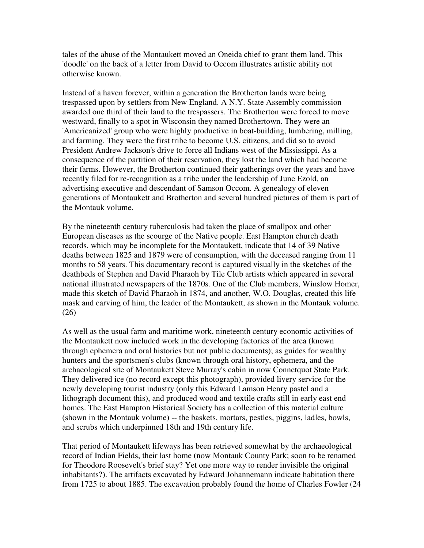tales of the abuse of the Montaukett moved an Oneida chief to grant them land. This 'doodle' on the back of a letter from David to Occom illustrates artistic ability not otherwise known.

Instead of a haven forever, within a generation the Brotherton lands were being trespassed upon by settlers from New England. A N.Y. State Assembly commission awarded one third of their land to the trespassers. The Brotherton were forced to move westward, finally to a spot in Wisconsin they named Brothertown. They were an 'Americanized' group who were highly productive in boat-building, lumbering, milling, and farming. They were the first tribe to become U.S. citizens, and did so to avoid President Andrew Jackson's drive to force all Indians west of the Mississippi. As a consequence of the partition of their reservation, they lost the land which had become their farms. However, the Brotherton continued their gatherings over the years and have recently filed for re-recognition as a tribe under the leadership of June Ezold, an advertising executive and descendant of Samson Occom. A genealogy of eleven generations of Montaukett and Brotherton and several hundred pictures of them is part of the Montauk volume.

By the nineteenth century tuberculosis had taken the place of smallpox and other European diseases as the scourge of the Native people. East Hampton church death records, which may be incomplete for the Montaukett, indicate that 14 of 39 Native deaths between 1825 and 1879 were of consumption, with the deceased ranging from 11 months to 58 years. This documentary record is captured visually in the sketches of the deathbeds of Stephen and David Pharaoh by Tile Club artists which appeared in several national illustrated newspapers of the 1870s. One of the Club members, Winslow Homer, made this sketch of David Pharaoh in 1874, and another, W.O. Douglas, created this life mask and carving of him, the leader of the Montaukett, as shown in the Montauk volume. (26)

As well as the usual farm and maritime work, nineteenth century economic activities of the Montaukett now included work in the developing factories of the area (known through ephemera and oral histories but not public documents); as guides for wealthy hunters and the sportsmen's clubs (known through oral history, ephemera, and the archaeological site of Montaukett Steve Murray's cabin in now Connetquot State Park. They delivered ice (no record except this photograph), provided livery service for the newly developing tourist industry (only this Edward Lamson Henry pastel and a lithograph document this), and produced wood and textile crafts still in early east end homes. The East Hampton Historical Society has a collection of this material culture (shown in the Montauk volume) -- the baskets, mortars, pestles, piggins, ladles, bowls, and scrubs which underpinned 18th and 19th century life.

That period of Montaukett lifeways has been retrieved somewhat by the archaeological record of Indian Fields, their last home (now Montauk County Park; soon to be renamed for Theodore Roosevelt's brief stay? Yet one more way to render invisible the original inhabitants?). The artifacts excavated by Edward Johannemann indicate habitation there from 1725 to about 1885. The excavation probably found the home of Charles Fowler (24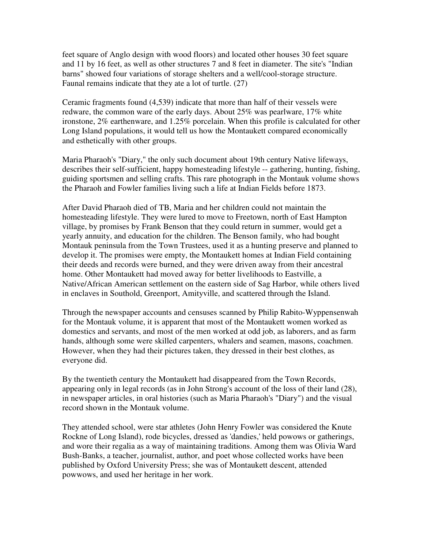feet square of Anglo design with wood floors) and located other houses 30 feet square and 11 by 16 feet, as well as other structures 7 and 8 feet in diameter. The site's "Indian barns" showed four variations of storage shelters and a well/cool-storage structure. Faunal remains indicate that they ate a lot of turtle. (27)

Ceramic fragments found (4,539) indicate that more than half of their vessels were redware, the common ware of the early days. About 25% was pearlware, 17% white ironstone, 2% earthenware, and 1.25% porcelain. When this profile is calculated for other Long Island populations, it would tell us how the Montaukett compared economically and esthetically with other groups.

Maria Pharaoh's "Diary," the only such document about 19th century Native lifeways, describes their self-sufficient, happy homesteading lifestyle -- gathering, hunting, fishing, guiding sportsmen and selling crafts. This rare photograph in the Montauk volume shows the Pharaoh and Fowler families living such a life at Indian Fields before 1873.

After David Pharaoh died of TB, Maria and her children could not maintain the homesteading lifestyle. They were lured to move to Freetown, north of East Hampton village, by promises by Frank Benson that they could return in summer, would get a yearly annuity, and education for the children. The Benson family, who had bought Montauk peninsula from the Town Trustees, used it as a hunting preserve and planned to develop it. The promises were empty, the Montaukett homes at Indian Field containing their deeds and records were burned, and they were driven away from their ancestral home. Other Montaukett had moved away for better livelihoods to Eastville, a Native/African American settlement on the eastern side of Sag Harbor, while others lived in enclaves in Southold, Greenport, Amityville, and scattered through the Island.

Through the newspaper accounts and censuses scanned by Philip Rabito-Wyppensenwah for the Montauk volume, it is apparent that most of the Montaukett women worked as domestics and servants, and most of the men worked at odd job, as laborers, and as farm hands, although some were skilled carpenters, whalers and seamen, masons, coachmen. However, when they had their pictures taken, they dressed in their best clothes, as everyone did.

By the twentieth century the Montaukett had disappeared from the Town Records, appearing only in legal records (as in John Strong's account of the loss of their land (28), in newspaper articles, in oral histories (such as Maria Pharaoh's "Diary") and the visual record shown in the Montauk volume.

They attended school, were star athletes (John Henry Fowler was considered the Knute Rockne of Long Island), rode bicycles, dressed as 'dandies,' held powows or gatherings, and wore their regalia as a way of maintaining traditions. Among them was Olivia Ward Bush-Banks, a teacher, journalist, author, and poet whose collected works have been published by Oxford University Press; she was of Montaukett descent, attended powwows, and used her heritage in her work.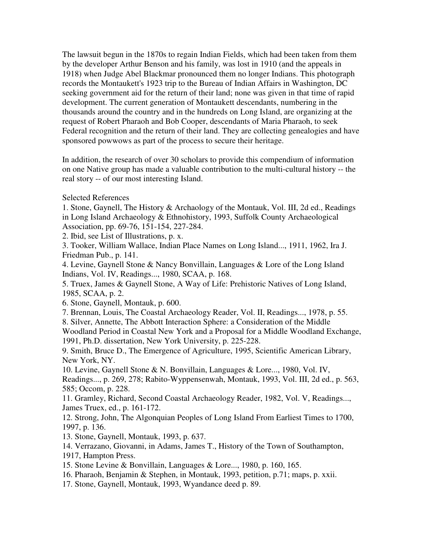The lawsuit begun in the 1870s to regain Indian Fields, which had been taken from them by the developer Arthur Benson and his family, was lost in 1910 (and the appeals in 1918) when Judge Abel Blackmar pronounced them no longer Indians. This photograph records the Montaukett's 1923 trip to the Bureau of Indian Affairs in Washington, DC seeking government aid for the return of their land; none was given in that time of rapid development. The current generation of Montaukett descendants, numbering in the thousands around the country and in the hundreds on Long Island, are organizing at the request of Robert Pharaoh and Bob Cooper, descendants of Maria Pharaoh, to seek Federal recognition and the return of their land. They are collecting genealogies and have sponsored powwows as part of the process to secure their heritage.

In addition, the research of over 30 scholars to provide this compendium of information on one Native group has made a valuable contribution to the multi-cultural history -- the real story -- of our most interesting Island.

## Selected References

1. Stone, Gaynell, The History & Archaology of the Montauk, Vol. III, 2d ed., Readings in Long Island Archaeology & Ethnohistory, 1993, Suffolk County Archaeological Association, pp. 69-76, 151-154, 227-284.

2. Ibid, see List of Illustrations, p. x.

3. Tooker, William Wallace, Indian Place Names on Long Island..., 1911, 1962, Ira J. Friedman Pub., p. 141.

4. Levine, Gaynell Stone & Nancy Bonvillain, Languages & Lore of the Long Island Indians, Vol. IV, Readings..., 1980, SCAA, p. 168.

5. Truex, James & Gaynell Stone, A Way of Life: Prehistoric Natives of Long Island, 1985, SCAA, p. 2.

6. Stone, Gaynell, Montauk, p. 600.

7. Brennan, Louis, The Coastal Archaeology Reader, Vol. II, Readings..., 1978, p. 55. 8. Silver, Annette, The Abbott Interaction Sphere: a Consideration of the Middle Woodland Period in Coastal New York and a Proposal for a Middle Woodland Exchange, 1991, Ph.D. dissertation, New York University, p. 225-228.

9. Smith, Bruce D., The Emergence of Agriculture, 1995, Scientific American Library, New York, NY.

10. Levine, Gaynell Stone & N. Bonvillain, Languages & Lore..., 1980, Vol. IV, Readings..., p. 269, 278; Rabito-Wyppensenwah, Montauk, 1993, Vol. III, 2d ed., p. 563, 585; Occom, p. 228.

11. Gramley, Richard, Second Coastal Archaeology Reader, 1982, Vol. V, Readings..., James Truex, ed., p. 161-172.

12. Strong, John, The Algonquian Peoples of Long Island From Earliest Times to 1700, 1997, p. 136.

13. Stone, Gaynell, Montauk, 1993, p. 637.

14. Verrazano, Giovanni, in Adams, James T., History of the Town of Southampton, 1917, Hampton Press.

15. Stone Levine & Bonvillain, Languages & Lore..., 1980, p. 160, 165.

16. Pharaoh, Benjamin & Stephen, in Montauk, 1993, petition, p.71; maps, p. xxii.

17. Stone, Gaynell, Montauk, 1993, Wyandance deed p. 89.